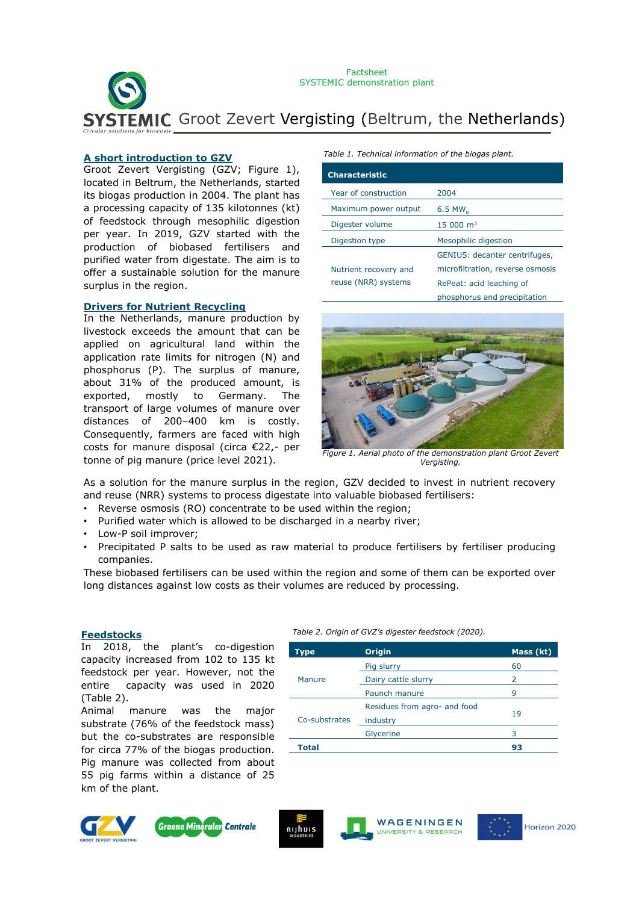**EMIC** Groot Zevert Vergisting (Beltrum, the Netherlands) Factsheet SYSTEMIC demonstration plant

#### **A short introduction to GZV**

Groot Zevert Vergisting (GZV; Figure 1), located in Beltrum, the Netherlands, started its biogas production in 2004. The plant has a processing capacity of 135 kilotonnes (kt) of feedstock through mesophilic digestion per year. In 2019, GZV started with the production of biobased fertilisers and purified water from digestate. The aim is to offer a sustainable solution for the manure surplus in the region.

#### **Drivers for Nutrient Recycling**

In the Netherlands, manure production by livestock exceeds the amount that can be applied on agricultural land within the application rate limits for nitrogen (N) and phosphorus (P). The surplus of manure, about 31% of the produced amount, is exported, mostly to Germany. The transport of large volumes of manure over distances of 200–400 km is costly. Consequently, farmers are faced with high costs for manure disposal (circa €22,- per tonne of pig manure (price level 2021).

*Table 1. Technical information of the biogas plant.*

| <b>Characteristic</b> |                                         |
|-----------------------|-----------------------------------------|
| Year of construction  | 2004                                    |
| Maximum power output  | $6.5$ MW <sub><math>\alpha</math></sub> |
| Digester volume       | $15000 \text{ m}^3$                     |
| Digestion type        | Mesophilic digestion                    |
|                       | GENIUS: decanter centrifuges,           |
| Nutrient recovery and | microfiltration, reverse osmosis        |
| reuse (NRR) systems   | RePeat: acid leaching of                |
|                       | phosphorus and precipitation            |



*Figure 1. Aerial photo of the demonstration plant Groot Zevert Vergisting.*

As a solution for the manure surplus in the region, GZV decided to invest in nutrient recovery and reuse (NRR) systems to process digestate into valuable biobased fertilisers:

- Reverse osmosis (RO) concentrate to be used within the region;
- Purified water which is allowed to be discharged in a nearby river;
- Low-P soil improver;
- Precipitated P salts to be used as raw material to produce fertilisers by fertiliser producing companies.

These biobased fertilisers can be used within the region and some of them can be exported over long distances against low costs as their volumes are reduced by processing.

In 2018, the plant's co-digestion capacity increased from 102 to 135 kt feedstock per year. However, not the entire capacity was used in 2020 (Table 2).

Animal manure was the major substrate (76% of the feedstock mass) but the co-substrates are responsible for circa 77% of the biogas production. Pig manure was collected from about 55 pig farms within a distance of 25 km of the plant.

# *Table 2. Origin of GVZ's digester feedstock (2020).* **Feedstocks**

| Type          | <b>Origin</b>                | Mass (kt) |
|---------------|------------------------------|-----------|
| Manure        | Pig slurry                   | 60        |
|               | Dairy cattle slurry          | 2         |
|               | Paunch manure                | 9         |
| Co-substrates | Residues from agro- and food |           |
|               | industry                     | 19        |
|               | Glycerine                    | 3         |
| Total         |                              | 93        |







WAGENINGEN UNIVERSITY & RESEARCH

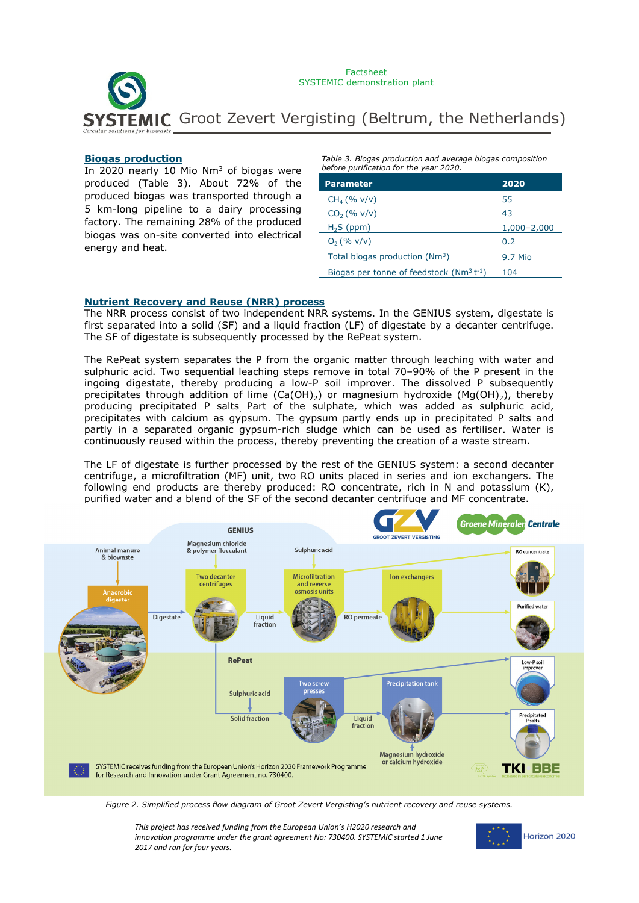

#### **Biogas production**

In 2020 nearly 10 Mio Nm<sup>3</sup> of biogas were produced (Table 3). About 72% of the produced biogas was transported through a 5 km-long pipeline to a dairy processing factory. The remaining 28% of the produced biogas was on-site converted into electrical energy and heat.

*Table 3. Biogas production and average biogas composition before purification for the year 2020.*

| <b>Parameter</b>                              | 2020            |  |
|-----------------------------------------------|-----------------|--|
| $CH_4 (% v/v)$                                | 55              |  |
| $CO2$ (% v/v)                                 | 43              |  |
| $H2S$ (ppm)                                   | $1,000 - 2,000$ |  |
| $O_2$ (% v/v)                                 | 0.2             |  |
| Total biogas production (Nm <sup>3</sup> )    | 9.7 Mio         |  |
| Biogas per tonne of feedstock $(Nm^3 t^{-1})$ | 104             |  |

#### **Nutrient Recovery and Reuse (NRR) process**

The NRR process consist of two independent NRR systems. In the GENIUS system, digestate is first separated into a solid (SF) and a liquid fraction (LF) of digestate by a decanter centrifuge. The SF of digestate is subsequently processed by the RePeat system.

The RePeat system separates the P from the organic matter through leaching with water and sulphuric acid. Two sequential leaching steps remove in total 70–90% of the P present in the ingoing digestate, thereby producing a low-P soil improver. The dissolved P subsequently precipitates through addition of lime  $(Ca(OH)_2)$  or magnesium hydroxide (Mg(OH)<sub>2</sub>), thereby producing precipitated P salts. Part of the sulphate, which was added as sulphuric acid, precipitates with calcium as gypsum. The gypsum partly ends up in precipitated P salts and partly in a separated organic gypsum-rich sludge which can be used as fertiliser. Water is continuously reused within the process, thereby preventing the creation of a waste stream.

The LF of digestate is further processed by the rest of the GENIUS system: a second decanter centrifuge, a microfiltration (MF) unit, two RO units placed in series and ion exchangers. The following end products are thereby produced: RO concentrate, rich in N and potassium (K), purified water and a blend of the SF of the second decanter centrifuge and MF concentrate.



*Figure 2. Simplified process flow diagram of Groot Zevert Vergisting's nutrient recovery and reuse systems.*

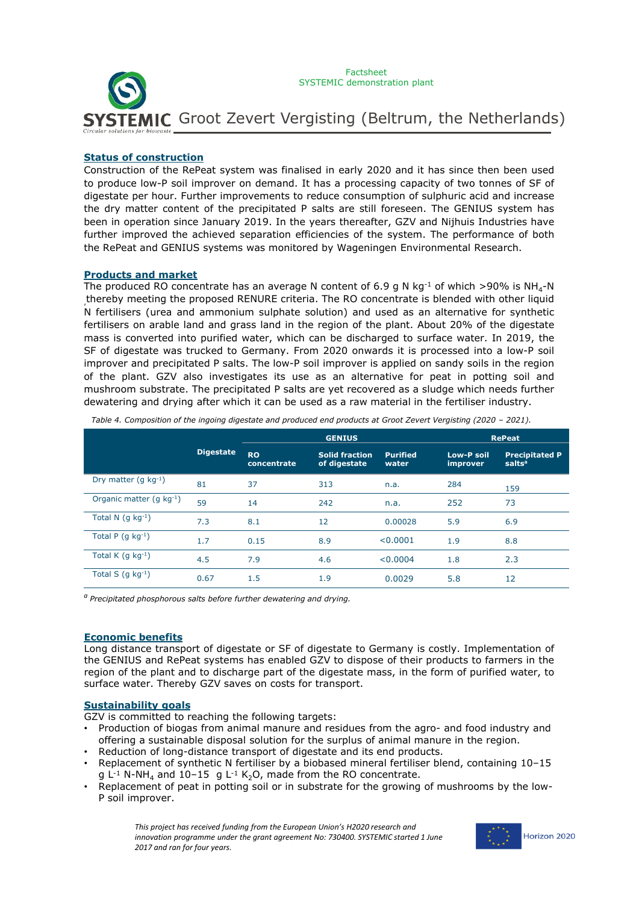

## **Status of construction**

Construction of the RePeat system was finalised in early 2020 and it has since then been used to produce low-P soil improver on demand. It has a processing capacity of two tonnes of SF of digestate per hour. Further improvements to reduce consumption of sulphuric acid and increase the dry matter content of the precipitated P salts are still foreseen. The GENIUS system has been in operation since January 2019. In the years thereafter, GZV and Nijhuis Industries have further improved the achieved separation efficiencies of the system. The performance of both the RePeat and GENIUS systems was monitored by Wageningen Environmental Research.

## **Products and market**

The produced RO concentrate has an average N content of 6.9 g N kg<sup>-1</sup> of which >90% is NH<sub>4</sub>-N , thereby meeting the proposed RENURE criteria. The RO concentrate is blended with other liquid N fertilisers (urea and ammonium sulphate solution) and used as an alternative for synthetic fertilisers on arable land and grass land in the region of the plant. About 20% of the digestate mass is converted into purified water, which can be discharged to surface water. In 2019, the SF of digestate was trucked to Germany. From 2020 onwards it is processed into a low-P soil improver and precipitated P salts. The low-P soil improver is applied on sandy soils in the region of the plant. GZV also investigates its use as an alternative for peat in potting soil and mushroom substrate. The precipitated P salts are yet recovered as a sludge which needs further dewatering and drying after which it can be used as a raw material in the fertiliser industry.

|                           |                  | <b>GENIUS</b>            |                                       |                          | <b>RePeat</b>          |                                             |
|---------------------------|------------------|--------------------------|---------------------------------------|--------------------------|------------------------|---------------------------------------------|
|                           | <b>Digestate</b> | <b>RO</b><br>concentrate | <b>Solid fraction</b><br>of digestate | <b>Purified</b><br>water | Low-P soil<br>improver | <b>Precipitated P</b><br>salts <sup>a</sup> |
| Dry matter (g $kg^{-1}$ ) | 81               | 37                       | 313                                   | n.a.                     | 284                    | 159                                         |
| Organic matter (g kg-1)   | 59               | 14                       | 242                                   | n.a.                     | 252                    | 73                                          |
| Total N $(q kq^{-1})$     | 7.3              | 8.1                      | 12                                    | 0.00028                  | 5.9                    | 6.9                                         |
| Total P $(g kg-1)$        | 1.7              | 0.15                     | 8.9                                   | < 0.0001                 | 1.9                    | 8.8                                         |
| Total K $(q kq^{-1})$     | 4.5              | 7.9                      | 4.6                                   | < 0.0004                 | 1.8                    | 2.3                                         |
| Total S $(g kg-1)$        | 0.67             | 1.5                      | 1.9                                   | 0.0029                   | 5.8                    | 12                                          |

*Table 4. Composition of the ingoing digestate and produced end products at Groot Zevert Vergisting (2020 – 2021).*

*a Precipitated phosphorous salts before further dewatering and drying.*

## **Economic benefits**

Long distance transport of digestate or SF of digestate to Germany is costly. Implementation of the GENIUS and RePeat systems has enabled GZV to dispose of their products to farmers in the region of the plant and to discharge part of the digestate mass, in the form of purified water, to surface water. Thereby GZV saves on costs for transport.

## **Sustainability goals**

GZV is committed to reaching the following targets:

- Production of biogas from animal manure and residues from the agro- and food industry and offering a sustainable disposal solution for the surplus of animal manure in the region.
- Reduction of long-distance transport of digestate and its end products.
- Replacement of synthetic N fertiliser by a biobased mineral fertiliser blend, containing 10–15 g  $L^{-1}$  N-NH<sub>4</sub> and 10-15 g L<sup>-1</sup> K<sub>2</sub>O, made from the RO concentrate.
- Replacement of peat in potting soil or in substrate for the growing of mushrooms by the low-P soil improver.

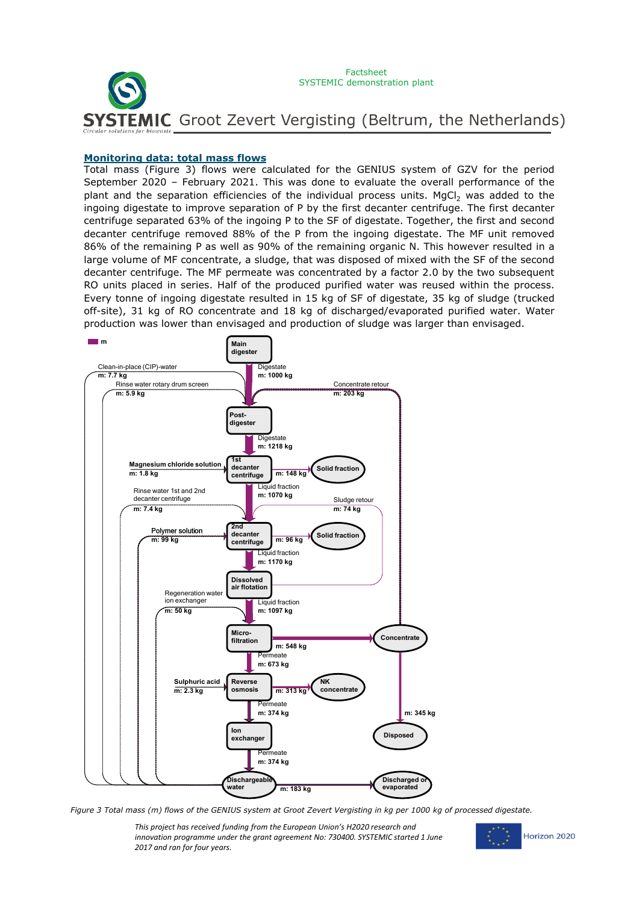

#### **Monitoring data: total mass flows**

Total mass (Figure 3) flows were calculated for the GENIUS system of GZV for the period September 2020 – February 2021. This was done to evaluate the overall performance of the plant and the separation efficiencies of the individual process units. MgCl<sub>2</sub> was added to the ingoing digestate to improve separation of P by the first decanter centrifuge. The first decanter centrifuge separated 63% of the ingoing P to the SF of digestate. Together, the first and second decanter centrifuge removed 88% of the P from the ingoing digestate. The MF unit removed 86% of the remaining P as well as 90% of the remaining organic N. This however resulted in a large volume of MF concentrate, a sludge, that was disposed of mixed with the SF of the second decanter centrifuge. The MF permeate was concentrated by a factor 2.0 by the two subsequent RO units placed in series. Half of the produced purified water was reused within the process. Every tonne of ingoing digestate resulted in 15 kg of SF of digestate, 35 kg of sludge (trucked off-site), 31 kg of RO concentrate and 18 kg of discharged/evaporated purified water. Water production was lower than envisaged and production of sludge was larger than envisaged.



*Figure 3 Total mass (m) flows of the GENIUS system at Groot Zevert Vergisting in kg per 1000 kg of processed digestate.* 

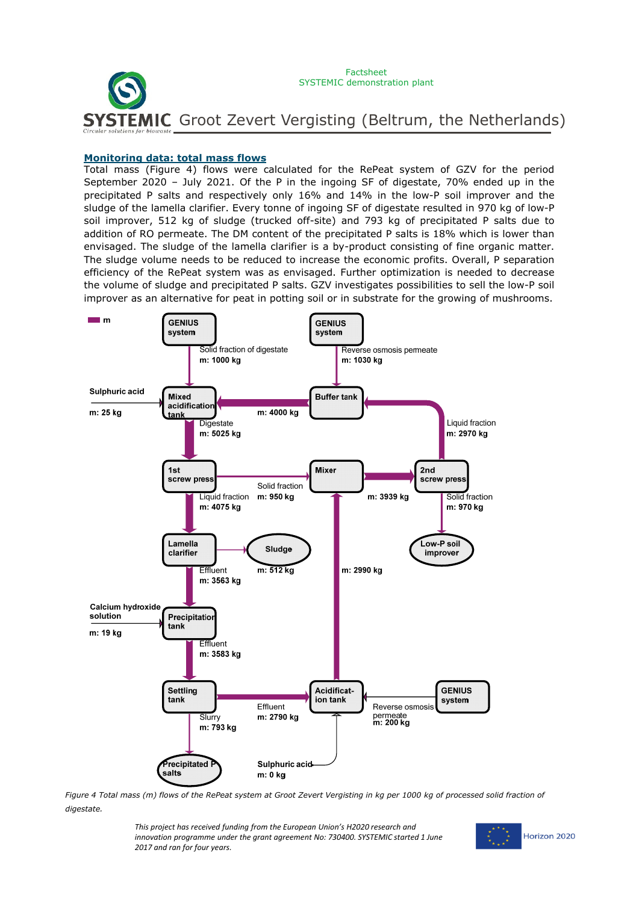

#### **Monitoring data: total mass flows**

Total mass (Figure 4) flows were calculated for the RePeat system of GZV for the period September 2020 – July 2021. Of the P in the ingoing SF of digestate, 70% ended up in the precipitated P salts and respectively only 16% and 14% in the low-P soil improver and the sludge of the lamella clarifier. Every tonne of ingoing SF of digestate resulted in 970 kg of low-P soil improver, 512 kg of sludge (trucked off-site) and 793 kg of precipitated P salts due to addition of RO permeate. The DM content of the precipitated P salts is 18% which is lower than envisaged. The sludge of the lamella clarifier is a by-product consisting of fine organic matter. The sludge volume needs to be reduced to increase the economic profits. Overall, P separation efficiency of the RePeat system was as envisaged. Further optimization is needed to decrease the volume of sludge and precipitated P salts. GZV investigates possibilities to sell the low-P soil improver as an alternative for peat in potting soil or in substrate for the growing of mushrooms.



*Figure 4 Total mass (m) flows of the RePeat system at Groot Zevert Vergisting in kg per 1000 kg of processed solid fraction of digestate.*